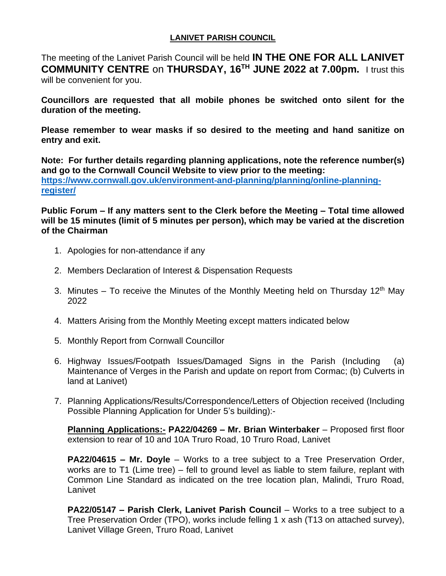## **LANIVET PARISH COUNCIL**

The meeting of the Lanivet Parish Council will be held **IN THE ONE FOR ALL LANIVET COMMUNITY CENTRE** on **THURSDAY, 16 TH JUNE 2022 at 7.00pm.** I trust this will be convenient for you.

**Councillors are requested that all mobile phones be switched onto silent for the duration of the meeting.** 

**Please remember to wear masks if so desired to the meeting and hand sanitize on entry and exit.**

**Note: For further details regarding planning applications, note the reference number(s) and go to the Cornwall Council Website to view prior to the meeting: [https://www.cornwall.gov.uk/environment-and-planning/planning/online-planning](https://www.cornwall.gov.uk/environment-and-planning/planning/online-planning-register/)[register/](https://www.cornwall.gov.uk/environment-and-planning/planning/online-planning-register/)**

**Public Forum – If any matters sent to the Clerk before the Meeting – Total time allowed will be 15 minutes (limit of 5 minutes per person), which may be varied at the discretion of the Chairman**

- 1. Apologies for non-attendance if any
- 2. Members Declaration of Interest & Dispensation Requests
- 3. Minutes To receive the Minutes of the Monthly Meeting held on Thursday 12<sup>th</sup> May 2022
- 4. Matters Arising from the Monthly Meeting except matters indicated below
- 5. Monthly Report from Cornwall Councillor
- 6. Highway Issues/Footpath Issues/Damaged Signs in the Parish (Including (a) Maintenance of Verges in the Parish and update on report from Cormac; (b) Culverts in land at Lanivet)
- 7. Planning Applications/Results/Correspondence/Letters of Objection received (Including Possible Planning Application for Under 5's building):-

**Planning Applications:- PA22/04269 – Mr. Brian Winterbaker** – Proposed first floor extension to rear of 10 and 10A Truro Road, 10 Truro Road, Lanivet

**PA22/04615 – Mr. Doyle** – Works to a tree subject to a Tree Preservation Order, works are to T1 (Lime tree) – fell to ground level as liable to stem failure, replant with Common Line Standard as indicated on the tree location plan, Malindi, Truro Road, Lanivet

**PA22/05147 – Parish Clerk, Lanivet Parish Council** – Works to a tree subject to a Tree Preservation Order (TPO), works include felling 1 x ash (T13 on attached survey), Lanivet Village Green, Truro Road, Lanivet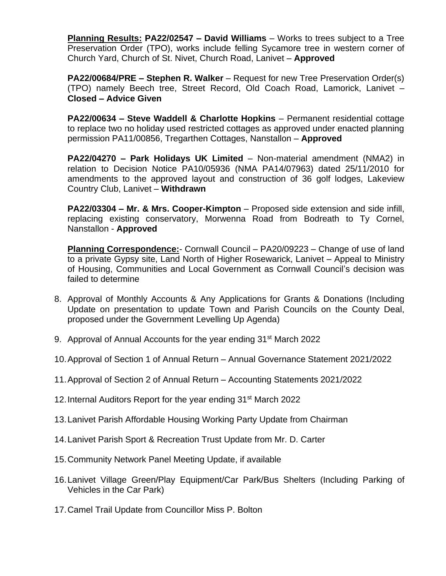**Planning Results: PA22/02547 – David Williams** – Works to trees subject to a Tree Preservation Order (TPO), works include felling Sycamore tree in western corner of Church Yard, Church of St. Nivet, Church Road, Lanivet – **Approved**

**PA22/00684/PRE – Stephen R. Walker** – Request for new Tree Preservation Order(s) (TPO) namely Beech tree, Street Record, Old Coach Road, Lamorick, Lanivet – **Closed – Advice Given**

**PA22/00634 – Steve Waddell & Charlotte Hopkins** – Permanent residential cottage to replace two no holiday used restricted cottages as approved under enacted planning permission PA11/00856, Tregarthen Cottages, Nanstallon – **Approved**

**PA22/04270 – Park Holidays UK Limited** – Non-material amendment (NMA2) in relation to Decision Notice PA10/05936 (NMA PA14/07963) dated 25/11/2010 for amendments to the approved layout and construction of 36 golf lodges, Lakeview Country Club, Lanivet – **Withdrawn**

**PA22/03304 – Mr. & Mrs. Cooper-Kimpton** – Proposed side extension and side infill, replacing existing conservatory, Morwenna Road from Bodreath to Ty Cornel, Nanstallon - **Approved**

**Planning Correspondence:**- Cornwall Council – PA20/09223 – Change of use of land to a private Gypsy site, Land North of Higher Rosewarick, Lanivet – Appeal to Ministry of Housing, Communities and Local Government as Cornwall Council's decision was failed to determine

- 8. Approval of Monthly Accounts & Any Applications for Grants & Donations (Including Update on presentation to update Town and Parish Councils on the County Deal, proposed under the Government Levelling Up Agenda)
- 9. Approval of Annual Accounts for the year ending 31st March 2022
- 10.Approval of Section 1 of Annual Return Annual Governance Statement 2021/2022
- 11.Approval of Section 2 of Annual Return Accounting Statements 2021/2022
- 12. Internal Auditors Report for the year ending 31<sup>st</sup> March 2022
- 13.Lanivet Parish Affordable Housing Working Party Update from Chairman
- 14.Lanivet Parish Sport & Recreation Trust Update from Mr. D. Carter
- 15.Community Network Panel Meeting Update, if available
- 16.Lanivet Village Green/Play Equipment/Car Park/Bus Shelters (Including Parking of Vehicles in the Car Park)
- 17.Camel Trail Update from Councillor Miss P. Bolton